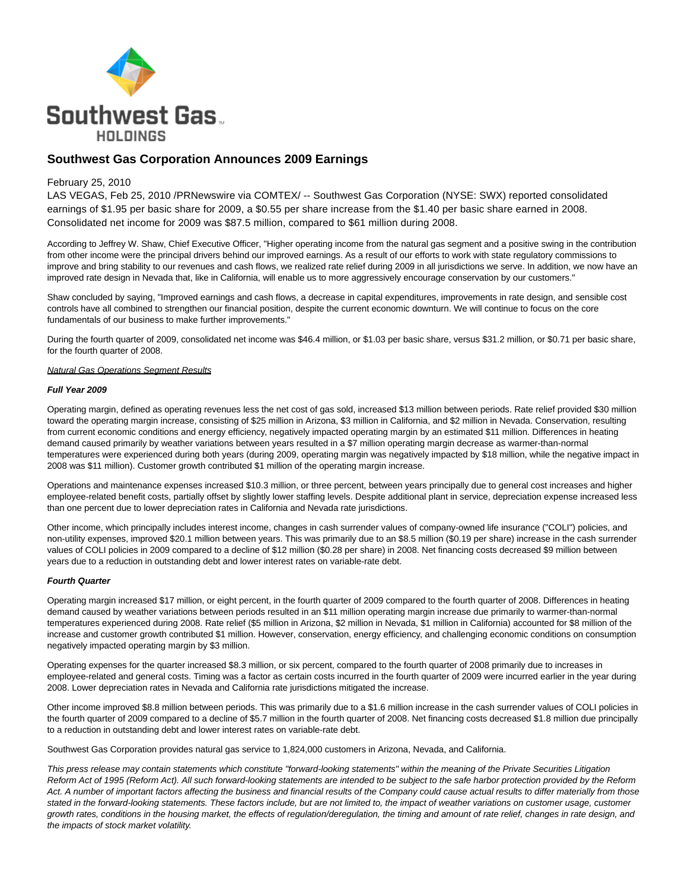

# **Southwest Gas Corporation Announces 2009 Earnings**

### February 25, 2010

LAS VEGAS, Feb 25, 2010 /PRNewswire via COMTEX/ -- Southwest Gas Corporation (NYSE: SWX) reported consolidated earnings of \$1.95 per basic share for 2009, a \$0.55 per share increase from the \$1.40 per basic share earned in 2008. Consolidated net income for 2009 was \$87.5 million, compared to \$61 million during 2008.

According to Jeffrey W. Shaw, Chief Executive Officer, "Higher operating income from the natural gas segment and a positive swing in the contribution from other income were the principal drivers behind our improved earnings. As a result of our efforts to work with state regulatory commissions to improve and bring stability to our revenues and cash flows, we realized rate relief during 2009 in all jurisdictions we serve. In addition, we now have an improved rate design in Nevada that, like in California, will enable us to more aggressively encourage conservation by our customers."

Shaw concluded by saying, "Improved earnings and cash flows, a decrease in capital expenditures, improvements in rate design, and sensible cost controls have all combined to strengthen our financial position, despite the current economic downturn. We will continue to focus on the core fundamentals of our business to make further improvements."

During the fourth quarter of 2009, consolidated net income was \$46.4 million, or \$1.03 per basic share, versus \$31.2 million, or \$0.71 per basic share, for the fourth quarter of 2008.

#### **Natural Gas Operations Segment Results**

#### **Full Year 2009**

Operating margin, defined as operating revenues less the net cost of gas sold, increased \$13 million between periods. Rate relief provided \$30 million toward the operating margin increase, consisting of \$25 million in Arizona, \$3 million in California, and \$2 million in Nevada. Conservation, resulting from current economic conditions and energy efficiency, negatively impacted operating margin by an estimated \$11 million. Differences in heating demand caused primarily by weather variations between years resulted in a \$7 million operating margin decrease as warmer-than-normal temperatures were experienced during both years (during 2009, operating margin was negatively impacted by \$18 million, while the negative impact in 2008 was \$11 million). Customer growth contributed \$1 million of the operating margin increase.

Operations and maintenance expenses increased \$10.3 million, or three percent, between years principally due to general cost increases and higher employee-related benefit costs, partially offset by slightly lower staffing levels. Despite additional plant in service, depreciation expense increased less than one percent due to lower depreciation rates in California and Nevada rate jurisdictions.

Other income, which principally includes interest income, changes in cash surrender values of company-owned life insurance ("COLI") policies, and non-utility expenses, improved \$20.1 million between years. This was primarily due to an \$8.5 million (\$0.19 per share) increase in the cash surrender values of COLI policies in 2009 compared to a decline of \$12 million (\$0.28 per share) in 2008. Net financing costs decreased \$9 million between years due to a reduction in outstanding debt and lower interest rates on variable-rate debt.

#### **Fourth Quarter**

Operating margin increased \$17 million, or eight percent, in the fourth quarter of 2009 compared to the fourth quarter of 2008. Differences in heating demand caused by weather variations between periods resulted in an \$11 million operating margin increase due primarily to warmer-than-normal temperatures experienced during 2008. Rate relief (\$5 million in Arizona, \$2 million in Nevada, \$1 million in California) accounted for \$8 million of the increase and customer growth contributed \$1 million. However, conservation, energy efficiency, and challenging economic conditions on consumption negatively impacted operating margin by \$3 million.

Operating expenses for the quarter increased \$8.3 million, or six percent, compared to the fourth quarter of 2008 primarily due to increases in employee-related and general costs. Timing was a factor as certain costs incurred in the fourth quarter of 2009 were incurred earlier in the year during 2008. Lower depreciation rates in Nevada and California rate jurisdictions mitigated the increase.

Other income improved \$8.8 million between periods. This was primarily due to a \$1.6 million increase in the cash surrender values of COLI policies in the fourth quarter of 2009 compared to a decline of \$5.7 million in the fourth quarter of 2008. Net financing costs decreased \$1.8 million due principally to a reduction in outstanding debt and lower interest rates on variable-rate debt.

Southwest Gas Corporation provides natural gas service to 1,824,000 customers in Arizona, Nevada, and California.

This press release may contain statements which constitute "forward-looking statements" within the meaning of the Private Securities Litigation Reform Act of 1995 (Reform Act). All such forward-looking statements are intended to be subject to the safe harbor protection provided by the Reform Act. A number of important factors affecting the business and financial results of the Company could cause actual results to differ materially from those stated in the forward-looking statements. These factors include, but are not limited to, the impact of weather variations on customer usage, customer growth rates, conditions in the housing market, the effects of regulation/deregulation, the timing and amount of rate relief, changes in rate design, and the impacts of stock market volatility.